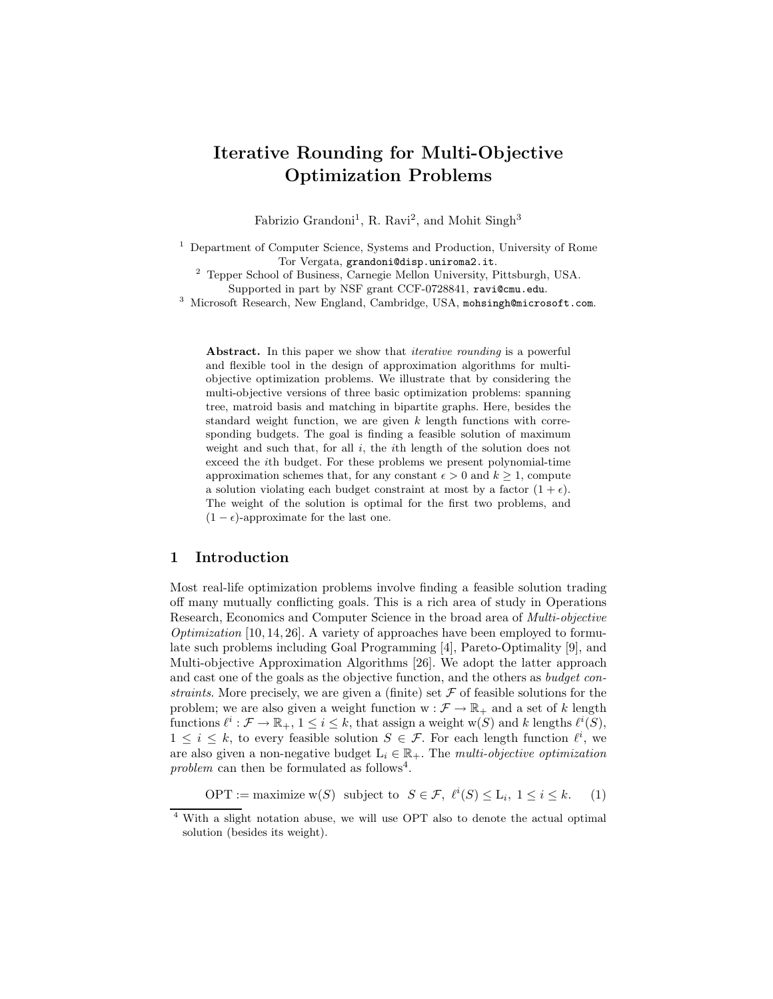# Iterative Rounding for Multi-Objective Optimization Problems

Fabrizio Grandoni<sup>1</sup>, R. Ravi<sup>2</sup>, and Mohit Singh<sup>3</sup>

<sup>1</sup> Department of Computer Science, Systems and Production, University of Rome Tor Vergata, grandoni@disp.uniroma2.it.

<sup>2</sup> Tepper School of Business, Carnegie Mellon University, Pittsburgh, USA. Supported in part by NSF grant CCF-0728841, ravi@cmu.edu.

<sup>3</sup> Microsoft Research, New England, Cambridge, USA, mohsingh@microsoft.com.

Abstract. In this paper we show that *iterative rounding* is a powerful and flexible tool in the design of approximation algorithms for multiobjective optimization problems. We illustrate that by considering the multi-objective versions of three basic optimization problems: spanning tree, matroid basis and matching in bipartite graphs. Here, besides the standard weight function, we are given  $k$  length functions with corresponding budgets. The goal is finding a feasible solution of maximum weight and such that, for all  $i$ , the *i*th length of the solution does not exceed the ith budget. For these problems we present polynomial-time approximation schemes that, for any constant  $\epsilon > 0$  and  $k \geq 1$ , compute a solution violating each budget constraint at most by a factor  $(1 + \epsilon)$ . The weight of the solution is optimal for the first two problems, and  $(1 - \epsilon)$ -approximate for the last one.

### 1 Introduction

Most real-life optimization problems involve finding a feasible solution trading off many mutually conflicting goals. This is a rich area of study in Operations Research, Economics and Computer Science in the broad area of Multi-objective *Optimization* [10, 14, 26]. A variety of approaches have been employed to formulate such problems including Goal Programming [4], Pareto-Optimality [9], and Multi-objective Approximation Algorithms [26]. We adopt the latter approach and cast one of the goals as the objective function, and the others as budget constraints. More precisely, we are given a (finite) set  $\mathcal F$  of feasible solutions for the problem; we are also given a weight function  $w : \mathcal{F} \to \mathbb{R}_+$  and a set of k length functions  $\ell^i : \mathcal{F} \to \mathbb{R}_+$ ,  $1 \leq i \leq k$ , that assign a weight w(S) and k lengths  $\ell^i(S)$ ,  $1 \leq i \leq k$ , to every feasible solution  $S \in \mathcal{F}$ . For each length function  $\ell^i$ , we are also given a non-negative budget  $L_i \in \mathbb{R}_+$ . The multi-objective optimization problem can then be formulated as follows<sup>4</sup>.

 $\text{OPT} := \text{maximize } w(S) \text{ subject to } S \in \mathcal{F}, \ell^i(S) \leq L_i, 1 \leq i \leq k.$  (1)

<sup>4</sup> With a slight notation abuse, we will use OPT also to denote the actual optimal solution (besides its weight).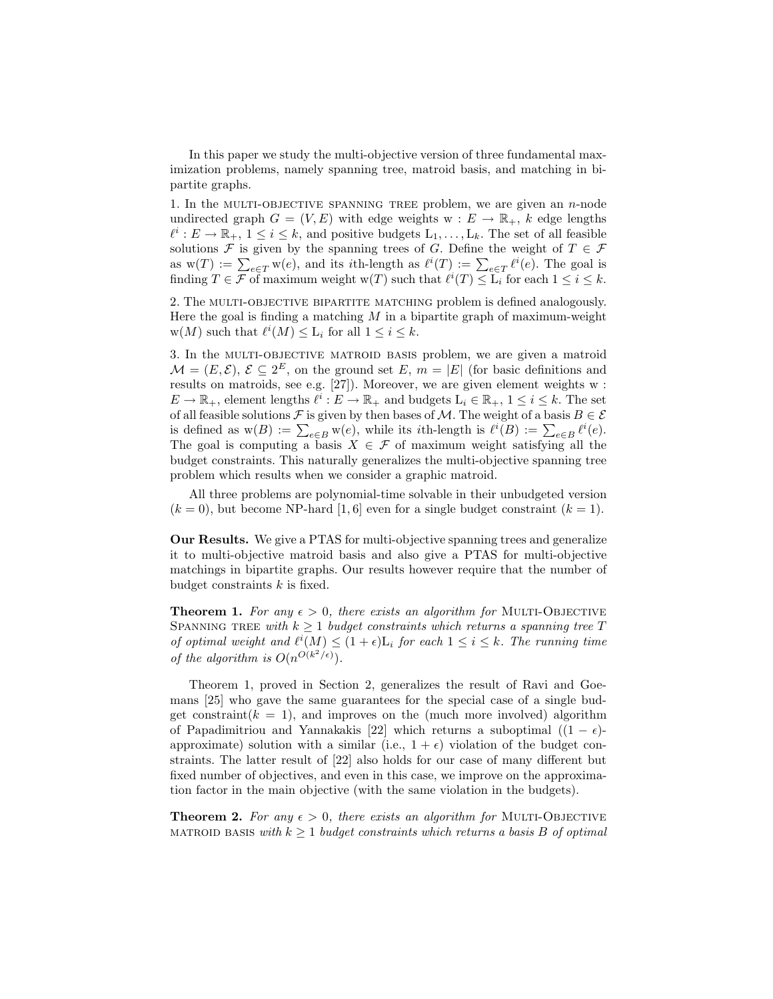In this paper we study the multi-objective version of three fundamental maximization problems, namely spanning tree, matroid basis, and matching in bipartite graphs.

1. In the MULTI-OBJECTIVE SPANNING TREE problem, we are given an  $n$ -node undirected graph  $G = (V, E)$  with edge weights  $w : E \to \mathbb{R}_+$ , k edge lengths  $\ell^i: E \to \mathbb{R}_+$ ,  $1 \leq i \leq k$ , and positive budgets  $L_1, \ldots, L_k$ . The set of all feasible solutions F is given by the spanning trees of G. Define the weight of  $T \in \mathcal{F}$ as  $w(T) := \sum_{e \in T} w(e)$ , and its *i*th-length as  $\ell^{i}(T) := \sum_{e \in T} \ell^{i}(e)$ . The goal is finding  $T \in \mathcal{F}$  of maximum weight w(T) such that  $\ell^{i}(T) \leq \overline{L}_{i}$  for each  $1 \leq i \leq k$ .

2. The multi-objective bipartite matching problem is defined analogously. Here the goal is finding a matching  $M$  in a bipartite graph of maximum-weight  $w(M)$  such that  $\ell^{i}(M) \leq L_{i}$  for all  $1 \leq i \leq k$ .

3. In the MULTI-OBJECTIVE MATROID BASIS problem, we are given a matroid  $\mathcal{M} = (E, \mathcal{E}), \, \mathcal{E} \subseteq 2^E$ , on the ground set E,  $m = |E|$  (for basic definitions and results on matroids, see e.g. [27]). Moreover, we are given element weights w :  $E \to \mathbb{R}_+$ , element lengths  $\ell^i : E \to \mathbb{R}_+$  and budgets  $L_i \in \mathbb{R}_+$ ,  $1 \le i \le k$ . The set of all feasible solutions F is given by then bases of M. The weight of a basis  $B \in \mathcal{E}$ is defined as  $w(B) := \sum_{e \in B} w(e)$ , while its *i*th-length is  $\ell^i(B) := \sum_{e \in B} \ell^i(e)$ . The goal is computing a basis  $X \in \mathcal{F}$  of maximum weight satisfying all the budget constraints. This naturally generalizes the multi-objective spanning tree problem which results when we consider a graphic matroid.

All three problems are polynomial-time solvable in their unbudgeted version  $(k = 0)$ , but become NP-hard [1, 6] even for a single budget constraint  $(k = 1)$ .

Our Results. We give a PTAS for multi-objective spanning trees and generalize it to multi-objective matroid basis and also give a PTAS for multi-objective matchings in bipartite graphs. Our results however require that the number of budget constraints  $k$  is fixed.

**Theorem 1.** For any  $\epsilon > 0$ , there exists an algorithm for MULTI-OBJECTIVE SPANNING TREE with  $k \geq 1$  budget constraints which returns a spanning tree T of optimal weight and  $\ell^i(M) \leq (1+\epsilon)L_i$  for each  $1 \leq i \leq k$ . The running time of the algorithm is  $O(n^{O(k^2/\epsilon)})$ .

Theorem 1, proved in Section 2, generalizes the result of Ravi and Goemans [25] who gave the same guarantees for the special case of a single budget constraint( $k = 1$ ), and improves on the (much more involved) algorithm of Papadimitriou and Yannakakis [22] which returns a suboptimal  $((1 - \epsilon)$ approximate) solution with a similar (i.e.,  $1 + \epsilon$ ) violation of the budget constraints. The latter result of [22] also holds for our case of many different but fixed number of objectives, and even in this case, we improve on the approximation factor in the main objective (with the same violation in the budgets).

**Theorem 2.** For any  $\epsilon > 0$ , there exists an algorithm for MULTI-OBJECTIVE MATROID BASIS with  $k \geq 1$  budget constraints which returns a basis B of optimal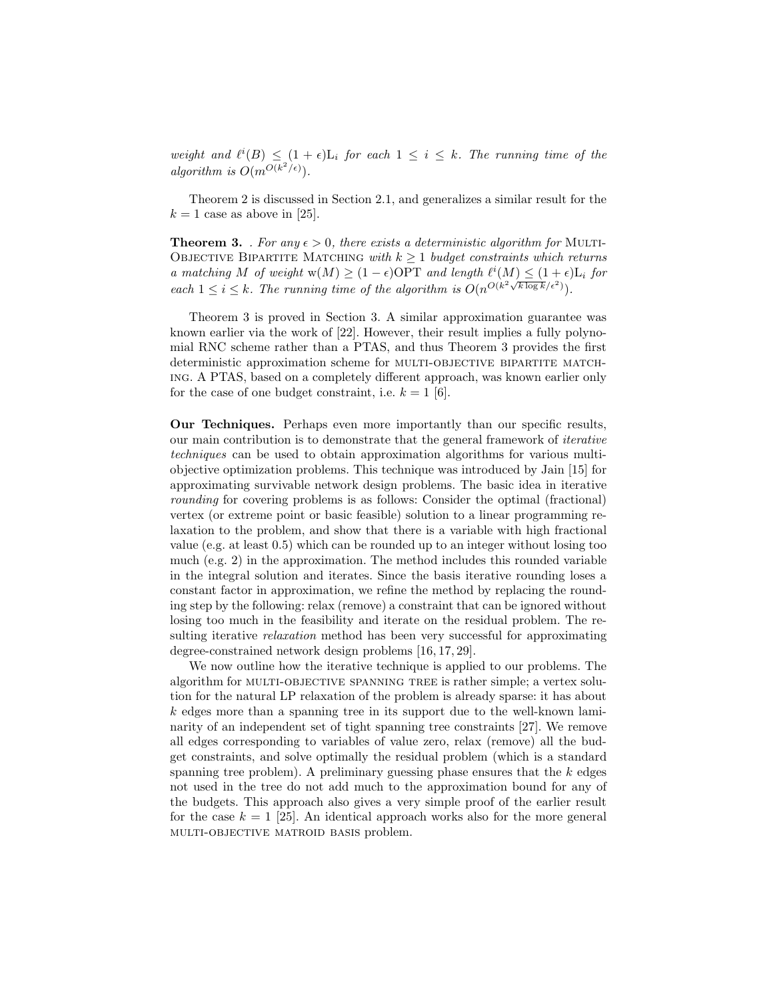weight and  $\ell^{i}(B) \leq (1+\epsilon)L_i$  for each  $1 \leq i \leq k$ . The running time of the algorithm is  $O(m^{O(k^2/\epsilon)})$ .

Theorem 2 is discussed in Section 2.1, and generalizes a similar result for the  $k = 1$  case as above in [25].

**Theorem 3.** . For any  $\epsilon > 0$ , there exists a deterministic algorithm for MULTI-OBJECTIVE BIPARTITE MATCHING with  $k \geq 1$  budget constraints which returns a matching M of weight  $w(M) \geq (1 - \epsilon)$ OPT and length  $\ell^{i}(M) \leq (1 + \epsilon) L_i$  for each  $1 \leq i \leq k$ . The running time of the algorithm is  $O(n^{O(k^2 \sqrt{k \log k}/\epsilon^2)})$ .

Theorem 3 is proved in Section 3. A similar approximation guarantee was known earlier via the work of [22]. However, their result implies a fully polynomial RNC scheme rather than a PTAS, and thus Theorem 3 provides the first deterministic approximation scheme for MULTI-OBJECTIVE BIPARTITE MATCHing. A PTAS, based on a completely different approach, was known earlier only for the case of one budget constraint, i.e.  $k = 1$  [6].

Our Techniques. Perhaps even more importantly than our specific results, our main contribution is to demonstrate that the general framework of iterative techniques can be used to obtain approximation algorithms for various multiobjective optimization problems. This technique was introduced by Jain [15] for approximating survivable network design problems. The basic idea in iterative rounding for covering problems is as follows: Consider the optimal (fractional) vertex (or extreme point or basic feasible) solution to a linear programming relaxation to the problem, and show that there is a variable with high fractional value (e.g. at least 0.5) which can be rounded up to an integer without losing too much (e.g. 2) in the approximation. The method includes this rounded variable in the integral solution and iterates. Since the basis iterative rounding loses a constant factor in approximation, we refine the method by replacing the rounding step by the following: relax (remove) a constraint that can be ignored without losing too much in the feasibility and iterate on the residual problem. The resulting iterative *relaxation* method has been very successful for approximating degree-constrained network design problems [16, 17, 29].

We now outline how the iterative technique is applied to our problems. The algorithm for MULTI-OBJECTIVE SPANNING TREE is rather simple; a vertex solution for the natural LP relaxation of the problem is already sparse: it has about  $k$  edges more than a spanning tree in its support due to the well-known laminarity of an independent set of tight spanning tree constraints [27]. We remove all edges corresponding to variables of value zero, relax (remove) all the budget constraints, and solve optimally the residual problem (which is a standard spanning tree problem). A preliminary guessing phase ensures that the  $k$  edges not used in the tree do not add much to the approximation bound for any of the budgets. This approach also gives a very simple proof of the earlier result for the case  $k = 1$  [25]. An identical approach works also for the more general multi-objective matroid basis problem.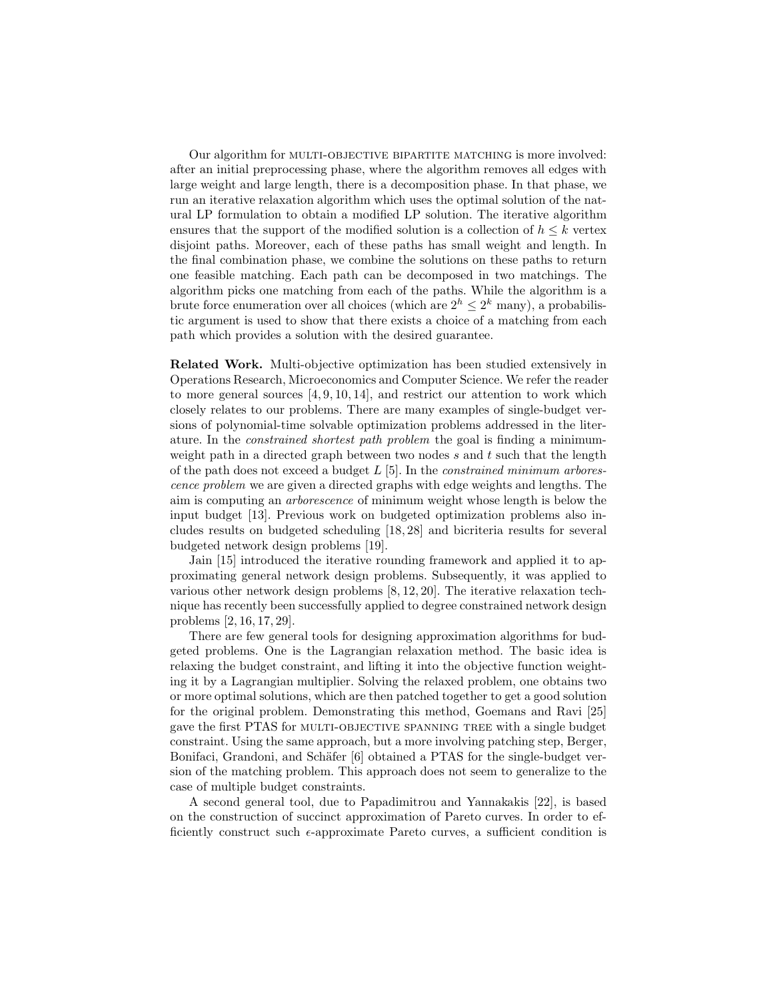Our algorithm for MULTI-OBJECTIVE BIPARTITE MATCHING is more involved: after an initial preprocessing phase, where the algorithm removes all edges with large weight and large length, there is a decomposition phase. In that phase, we run an iterative relaxation algorithm which uses the optimal solution of the natural LP formulation to obtain a modified LP solution. The iterative algorithm ensures that the support of the modified solution is a collection of  $h \leq k$  vertex disjoint paths. Moreover, each of these paths has small weight and length. In the final combination phase, we combine the solutions on these paths to return one feasible matching. Each path can be decomposed in two matchings. The algorithm picks one matching from each of the paths. While the algorithm is a brute force enumeration over all choices (which are  $2^h \leq 2^k$  many), a probabilistic argument is used to show that there exists a choice of a matching from each path which provides a solution with the desired guarantee.

Related Work. Multi-objective optimization has been studied extensively in Operations Research, Microeconomics and Computer Science. We refer the reader to more general sources  $[4, 9, 10, 14]$ , and restrict our attention to work which closely relates to our problems. There are many examples of single-budget versions of polynomial-time solvable optimization problems addressed in the literature. In the constrained shortest path problem the goal is finding a minimumweight path in a directed graph between two nodes s and t such that the length of the path does not exceed a budget  $L$  [5]. In the *constrained minimum arbores*cence problem we are given a directed graphs with edge weights and lengths. The aim is computing an arborescence of minimum weight whose length is below the input budget [13]. Previous work on budgeted optimization problems also includes results on budgeted scheduling [18, 28] and bicriteria results for several budgeted network design problems [19].

Jain [15] introduced the iterative rounding framework and applied it to approximating general network design problems. Subsequently, it was applied to various other network design problems [8, 12, 20]. The iterative relaxation technique has recently been successfully applied to degree constrained network design problems [2, 16, 17, 29].

There are few general tools for designing approximation algorithms for budgeted problems. One is the Lagrangian relaxation method. The basic idea is relaxing the budget constraint, and lifting it into the objective function weighting it by a Lagrangian multiplier. Solving the relaxed problem, one obtains two or more optimal solutions, which are then patched together to get a good solution for the original problem. Demonstrating this method, Goemans and Ravi [25] gave the first PTAS for MULTI-OBJECTIVE SPANNING TREE with a single budget constraint. Using the same approach, but a more involving patching step, Berger, Bonifaci, Grandoni, and Schäfer [6] obtained a PTAS for the single-budget version of the matching problem. This approach does not seem to generalize to the case of multiple budget constraints.

A second general tool, due to Papadimitrou and Yannakakis [22], is based on the construction of succinct approximation of Pareto curves. In order to efficiently construct such  $\epsilon$ -approximate Pareto curves, a sufficient condition is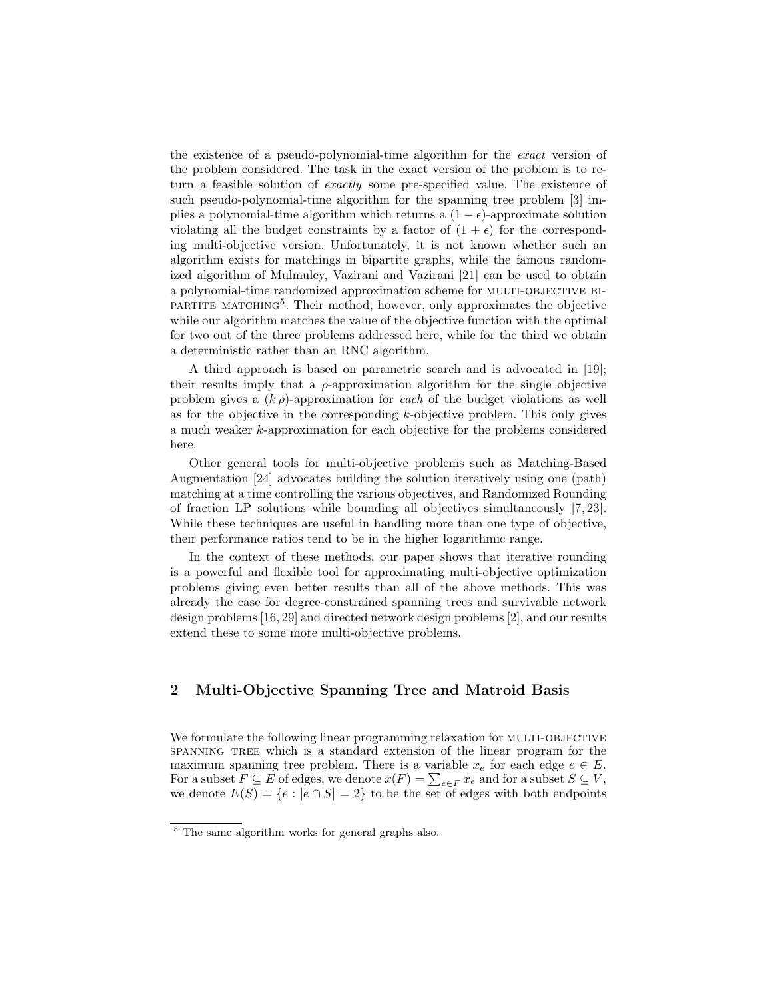the existence of a pseudo-polynomial-time algorithm for the exact version of the problem considered. The task in the exact version of the problem is to return a feasible solution of exactly some pre-specified value. The existence of such pseudo-polynomial-time algorithm for the spanning tree problem [3] implies a polynomial-time algorithm which returns a  $(1 - \epsilon)$ -approximate solution violating all the budget constraints by a factor of  $(1 + \epsilon)$  for the corresponding multi-objective version. Unfortunately, it is not known whether such an algorithm exists for matchings in bipartite graphs, while the famous randomized algorithm of Mulmuley, Vazirani and Vazirani [21] can be used to obtain a polynomial-time randomized approximation scheme for multi-objective bi-PARTITE MATCHING<sup>5</sup>. Their method, however, only approximates the objective while our algorithm matches the value of the objective function with the optimal for two out of the three problems addressed here, while for the third we obtain a deterministic rather than an RNC algorithm.

A third approach is based on parametric search and is advocated in [19]; their results imply that a  $\rho$ -approximation algorithm for the single objective problem gives a  $(k \rho)$ -approximation for each of the budget violations as well as for the objective in the corresponding  $k$ -objective problem. This only gives a much weaker k-approximation for each objective for the problems considered here.

Other general tools for multi-objective problems such as Matching-Based Augmentation [24] advocates building the solution iteratively using one (path) matching at a time controlling the various objectives, and Randomized Rounding of fraction LP solutions while bounding all objectives simultaneously [7, 23]. While these techniques are useful in handling more than one type of objective, their performance ratios tend to be in the higher logarithmic range.

In the context of these methods, our paper shows that iterative rounding is a powerful and flexible tool for approximating multi-objective optimization problems giving even better results than all of the above methods. This was already the case for degree-constrained spanning trees and survivable network design problems [16, 29] and directed network design problems [2], and our results extend these to some more multi-objective problems.

# 2 Multi-Objective Spanning Tree and Matroid Basis

We formulate the following linear programming relaxation for MULTI-OBJECTIVE spanning tree which is a standard extension of the linear program for the maximum spanning tree problem. There is a variable  $x_e$  for each edge  $e \in E$ . For a subset  $F \subseteq E$  of edges, we denote  $x(F) = \sum_{e \in F} x_e$  and for a subset  $S \subseteq V$ , we denote  $E(S) = \{e : |e \cap S| = 2\}$  to be the set of edges with both endpoints

<sup>5</sup> The same algorithm works for general graphs also.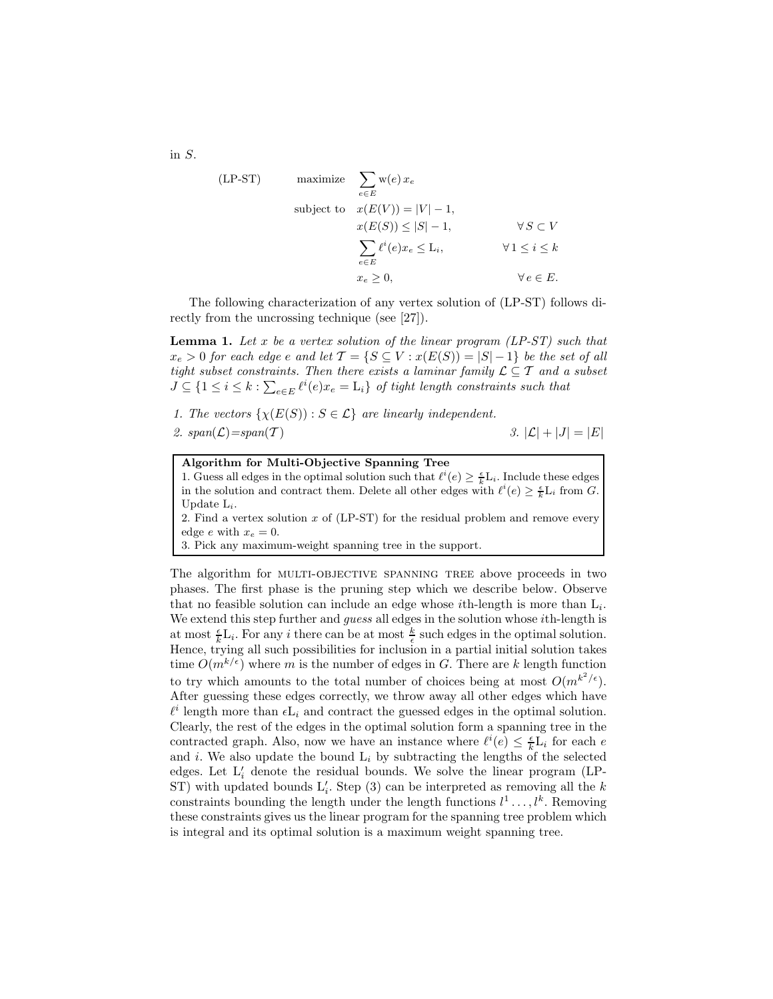(LP-ST) maximize 
$$
\sum_{e \in E} w(e) x_e
$$
  
\nsubject to  $x(E(V)) = |V| - 1$ ,  
\n $x(E(S)) \le |S| - 1$ ,  $\forall S \subset V$   
\n $\sum_{e \in E} \ell^i(e) x_e \le L_i$ ,  $\forall 1 \le i \le k$   
\n $x_e \ge 0$ ,  $\forall e \in E$ .

The following characterization of any vertex solution of (LP-ST) follows directly from the uncrossing technique (see [27]).

**Lemma 1.** Let x be a vertex solution of the linear program  $(LP-ST)$  such that  $x_e > 0$  for each edge e and let  $\mathcal{T} = \{ S \subseteq V : x(E(S)) = |S| - 1 \}$  be the set of all tight subset constraints. Then there exists a laminar family  $\mathcal{L} \subseteq \mathcal{T}$  and a subset  $J \subseteq \{1 \leq i \leq k : \sum_{e \in E} \ell^i(e)x_e = \mathcal{L}_i\}$  of tight length constraints such that

1. The vectors  $\{\chi(E(S)) : S \in \mathcal{L}\}\$ are linearly independent. 2.  $span(\mathcal{L})=span(\mathcal{T})$  3.  $|\mathcal{L}|+|J|=|E|$ 

| Algorithm for Multi-Objective Spanning Tree                                                                        |
|--------------------------------------------------------------------------------------------------------------------|
| 1. Guess all edges in the optimal solution such that $\ell^i(e) \geq \frac{\epsilon}{L} L_i$ . Include these edges |
| in the solution and contract them. Delete all other edges with $\ell^{i}(e) \geq \frac{\epsilon}{k} L_{i}$ from G. |
| Update $L_i$ .                                                                                                     |
| 2. Find a vertex solution $x$ of (LP-ST) for the residual problem and remove every                                 |
| edge e with $x_e = 0$ .                                                                                            |
| 3. Pick any maximum-weight spanning tree in the support.                                                           |

The algorithm for MULTI-OBJECTIVE SPANNING TREE above proceeds in two phases. The first phase is the pruning step which we describe below. Observe that no feasible solution can include an edge whose *i*th-length is more than  $L_i$ . We extend this step further and *guess* all edges in the solution whose *i*th-length is at most  $\frac{\epsilon}{k}L_i$ . For any *i* there can be at most  $\frac{k}{\epsilon}$  such edges in the optimal solution. Hence, trying all such possibilities for inclusion in a partial initial solution takes time  $O(m^{k/\epsilon})$  where m is the number of edges in G. There are k length function to try which amounts to the total number of choices being at most  $O(m^{k^2/\epsilon})$ . After guessing these edges correctly, we throw away all other edges which have  $\ell^i$  length more than  $\epsilon L_i$  and contract the guessed edges in the optimal solution. Clearly, the rest of the edges in the optimal solution form a spanning tree in the contracted graph. Also, now we have an instance where  $\ell^i(e) \leq \frac{\epsilon}{k} L_i$  for each e and i. We also update the bound  $L_i$  by subtracting the lengths of the selected edges. Let  $L'_i$  denote the residual bounds. We solve the linear program (LP-ST) with updated bounds  $L'_i$ . Step (3) can be interpreted as removing all the k constraints bounding the length under the length functions  $l^1 \dots, l^k$ . Removing these constraints gives us the linear program for the spanning tree problem which is integral and its optimal solution is a maximum weight spanning tree.

in S.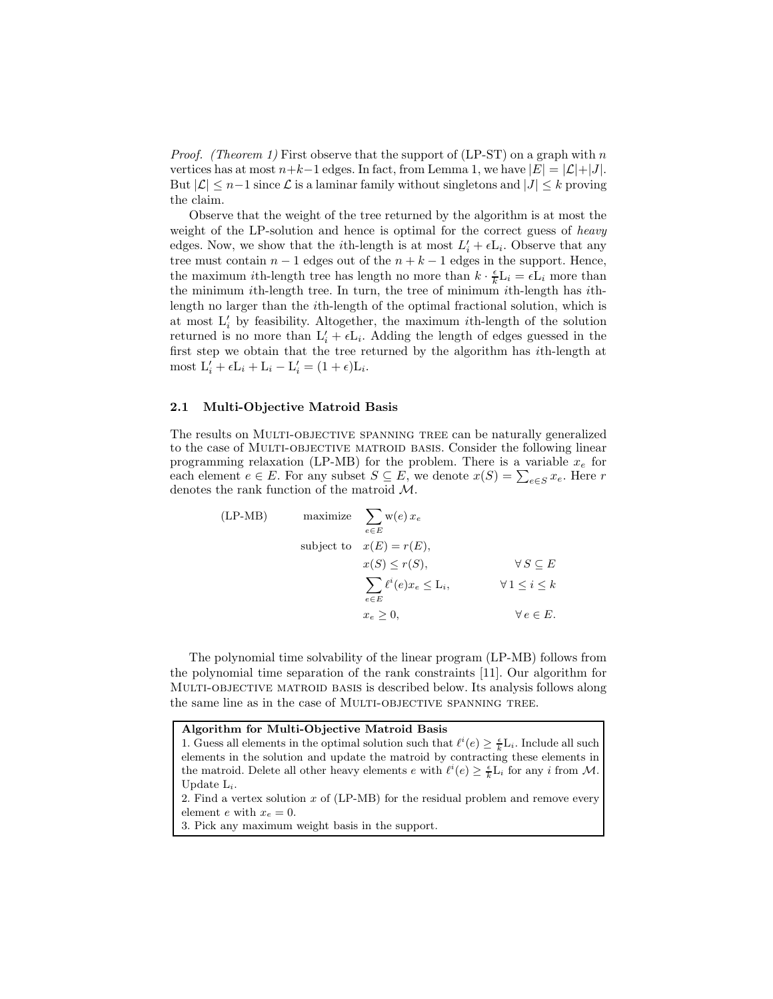*Proof.* (Theorem 1) First observe that the support of (LP-ST) on a graph with n vertices has at most  $n+k-1$  edges. In fact, from Lemma 1, we have  $|E| = |\mathcal{L}|+|J|$ . But  $|\mathcal{L}| \leq n-1$  since  $\mathcal L$  is a laminar family without singletons and  $|J| \leq k$  proving the claim.

Observe that the weight of the tree returned by the algorithm is at most the weight of the LP-solution and hence is optimal for the correct guess of *heavy* edges. Now, we show that the *i*th-length is at most  $L'_i + \epsilon L_i$ . Observe that any tree must contain  $n - 1$  edges out of the  $n + k - 1$  edges in the support. Hence, the maximum *i*th-length tree has length no more than  $k \cdot \frac{\epsilon}{k} L_i = \epsilon L_i$  more than the minimum ith-length tree. In turn, the tree of minimum ith-length has ithlength no larger than the ith-length of the optimal fractional solution, which is at most  $L'_{i}$  by feasibility. Altogether, the maximum *i*th-length of the solution returned is no more than  $L'_i + \epsilon L_i$ . Adding the length of edges guessed in the first step we obtain that the tree returned by the algorithm has ith-length at most  $L'_i + \epsilon L_i + L_i - L'_i = (1 + \epsilon)L_i$ .

#### 2.1 Multi-Objective Matroid Basis

The results on MULTI-OBJECTIVE SPANNING TREE can be naturally generalized to the case of Multi-objective matroid basis. Consider the following linear programming relaxation (LP-MB) for the problem. There is a variable  $x_e$  for each element  $e \in E$ . For any subset  $S \subseteq E$ , we denote  $x(S) = \sum_{e \in S} x_e$ . Here r denotes the rank function of the matroid M.

(LP-MB) maximize 
$$
\sum_{e \in E} w(e) x_e
$$
  
\nsubject to  $x(E) = r(E)$ ,  
\n $x(S) \le r(S)$ ,  $\forall S \subseteq E$   
\n $\sum_{e \in E} \ell^i(e) x_e \le L_i$ ,  $\forall 1 \le i \le k$   
\n $x_e \ge 0$ ,  $\forall e \in E$ .

The polynomial time solvability of the linear program (LP-MB) follows from the polynomial time separation of the rank constraints [11]. Our algorithm for Multi-objective matroid basis is described below. Its analysis follows along the same line as in the case of MULTI-OBJECTIVE SPANNING TREE.

Algorithm for Multi-Objective Matroid Basis

1. Guess all elements in the optimal solution such that  $\ell^i(e) \geq \frac{\epsilon}{k} L_i$ . Include all such elements in the solution and update the matroid by contracting these elements in the matroid. Delete all other heavy elements  $e$  with  $\ell^i(e) \geq \frac{\epsilon}{k} L_i$  for any i from M. Update  $L_i$ .

2. Find a vertex solution x of (LP-MB) for the residual problem and remove every element e with  $x_e = 0$ .

3. Pick any maximum weight basis in the support.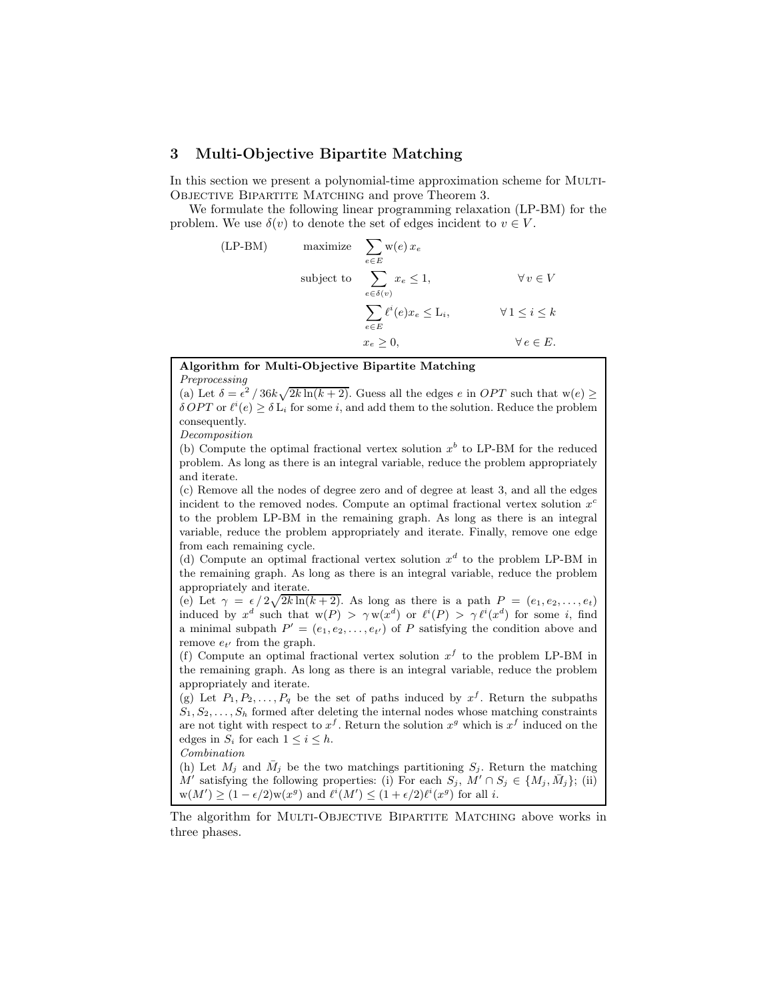## 3 Multi-Objective Bipartite Matching

In this section we present a polynomial-time approximation scheme for MULTI-Objective Bipartite Matching and prove Theorem 3.

We formulate the following linear programming relaxation (LP-BM) for the problem. We use  $\delta(v)$  to denote the set of edges incident to  $v \in V$ .

(LP-BM) maximize 
$$
\sum_{e \in E} w(e) x_e
$$
  
\nsubject to  $\sum_{e \in \delta(v)} x_e \le 1$ ,  $\forall v \in V$   
\n $\sum_{e \in E} \ell^i(e) x_e \le L_i$ ,  $\forall 1 \le i \le k$   
\n $x_e \ge 0$ ,  $\forall e \in E$ .

## Algorithm for Multi-Objective Bipartite Matching

Preprocessing

(a) Let  $\delta = \epsilon^2 / 36k\sqrt{2k\ln(k+2)}$ . Guess all the edges e in OPT such that  $w(e) \ge$  $\delta OPT$  or  $\ell^i(e) \geq \delta L_i$  for some i, and add them to the solution. Reduce the problem consequently.

Decomposition

(b) Compute the optimal fractional vertex solution  $x^b$  to LP-BM for the reduced problem. As long as there is an integral variable, reduce the problem appropriately and iterate.

(c) Remove all the nodes of degree zero and of degree at least 3, and all the edges incident to the removed nodes. Compute an optimal fractional vertex solution  $x^c$ to the problem LP-BM in the remaining graph. As long as there is an integral variable, reduce the problem appropriately and iterate. Finally, remove one edge from each remaining cycle.

(d) Compute an optimal fractional vertex solution  $x<sup>d</sup>$  to the problem LP-BM in the remaining graph. As long as there is an integral variable, reduce the problem appropriately and iterate.

(e) Let  $\gamma = \frac{\epsilon}{2\sqrt{2k\ln(k+2)}}$ . As long as there is a path  $P = (e_1, e_2, \ldots, e_t)$ induced by  $x^d$  such that  $w(P) > \gamma w(x^d)$  or  $\ell^i(P) > \gamma \ell^i(x^d)$  for some i, find a minimal subpath  $P' = (e_1, e_2, \ldots, e_{t'})$  of P satisfying the condition above and remove  $e_{t'}$  from the graph.

(f) Compute an optimal fractional vertex solution  $x<sup>f</sup>$  to the problem LP-BM in the remaining graph. As long as there is an integral variable, reduce the problem appropriately and iterate.

(g) Let  $P_1, P_2, \ldots, P_q$  be the set of paths induced by  $x^f$ . Return the subpaths  $S_1, S_2, \ldots, S_h$  formed after deleting the internal nodes whose matching constraints are not tight with respect to  $x^f$ . Return the solution  $x^g$  which is  $x^f$  induced on the edges in  $S_i$  for each  $1 \leq i \leq h$ .

Combination

(h) Let  $M_j$  and  $\bar{M}_j$  be the two matchings partitioning  $S_j$ . Return the matching M' satisfying the following properties: (i) For each  $S_j$ ,  $M' \cap S_j \in \{M_j, \bar{M}_j\}$ ; (ii)  $w(M') \ge (1 - \epsilon/2)w(x^g)$  and  $\ell^i(M') \le (1 + \epsilon/2)\ell^i(x^g)$  for all i.

The algorithm for MULTI-OBJECTIVE BIPARTITE MATCHING above works in three phases.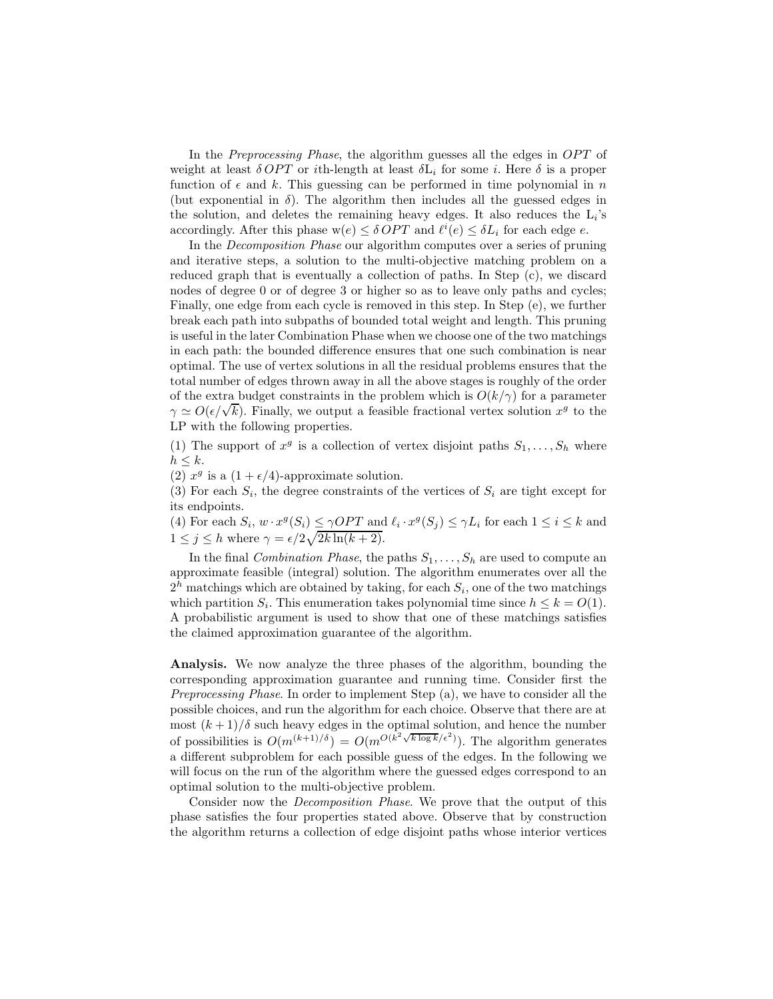In the *Preprocessing Phase*, the algorithm guesses all the edges in *OPT* of weight at least  $\delta OPT$  or ith-length at least  $\delta L_i$  for some i. Here  $\delta$  is a proper function of  $\epsilon$  and k. This guessing can be performed in time polynomial in n (but exponential in  $\delta$ ). The algorithm then includes all the guessed edges in the solution, and deletes the remaining heavy edges. It also reduces the  $\mathcal{L}_i$ 's accordingly. After this phase  $w(e) \leq \delta OPT$  and  $\ell^i(e) \leq \delta L_i$  for each edge e.

In the Decomposition Phase our algorithm computes over a series of pruning and iterative steps, a solution to the multi-objective matching problem on a reduced graph that is eventually a collection of paths. In Step (c), we discard nodes of degree 0 or of degree 3 or higher so as to leave only paths and cycles; Finally, one edge from each cycle is removed in this step. In Step (e), we further break each path into subpaths of bounded total weight and length. This pruning is useful in the later Combination Phase when we choose one of the two matchings in each path: the bounded difference ensures that one such combination is near optimal. The use of vertex solutions in all the residual problems ensures that the total number of edges thrown away in all the above stages is roughly of the order of the extra budget constraints in the problem which is  $O(k/\gamma)$  for a parameter  $\gamma \simeq O(\epsilon/\sqrt{k})$ . Finally, we output a feasible fractional vertex solution  $x^g$  to the LP with the following properties.

(1) The support of  $x^g$  is a collection of vertex disjoint paths  $S_1, \ldots, S_h$  where  $h \leq k$ .

(2)  $x^g$  is a  $(1 + \epsilon/4)$ -approximate solution.

(3) For each  $S_i$ , the degree constraints of the vertices of  $S_i$  are tight except for its endpoints.

(4) For each  $S_i$ ,  $w \cdot x^g(S_i) \le \gamma OPT$  and  $\ell_i \cdot x^g(S_j) \le \gamma L_i$  for each  $1 \le i \le k$  and  $1 \leq j \leq h$  where  $\gamma = \epsilon/2\sqrt{2k\ln(k+2)}$ .

In the final *Combination Phase*, the paths  $S_1, \ldots, S_h$  are used to compute an approximate feasible (integral) solution. The algorithm enumerates over all the  $2<sup>h</sup>$  matchings which are obtained by taking, for each  $S<sub>i</sub>$ , one of the two matchings which partition  $S_i$ . This enumeration takes polynomial time since  $h \leq k = O(1)$ . A probabilistic argument is used to show that one of these matchings satisfies the claimed approximation guarantee of the algorithm.

Analysis. We now analyze the three phases of the algorithm, bounding the corresponding approximation guarantee and running time. Consider first the Preprocessing Phase. In order to implement Step (a), we have to consider all the possible choices, and run the algorithm for each choice. Observe that there are at most  $(k+1)/\delta$  such heavy edges in the optimal solution, and hence the number of possibilities is  $O(m^{(k+1)/\delta}) = O(m^{O(k^2\sqrt{k\log k}/\epsilon^2)})$ . The algorithm generates a different subproblem for each possible guess of the edges. In the following we will focus on the run of the algorithm where the guessed edges correspond to an optimal solution to the multi-objective problem.

Consider now the Decomposition Phase. We prove that the output of this phase satisfies the four properties stated above. Observe that by construction the algorithm returns a collection of edge disjoint paths whose interior vertices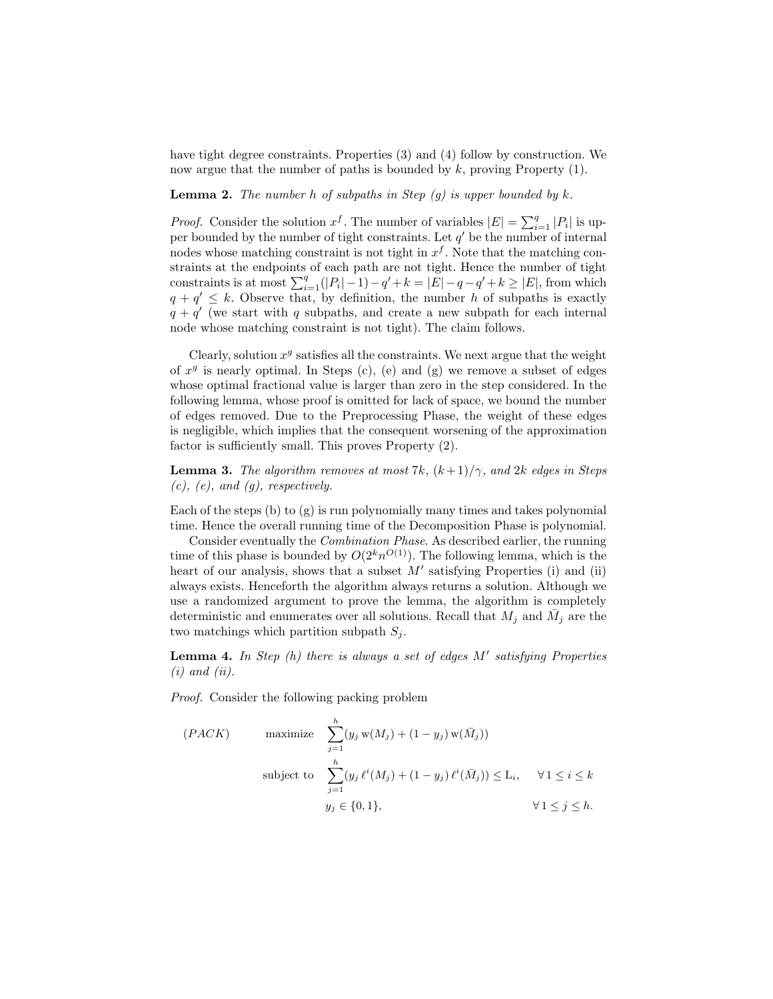have tight degree constraints. Properties (3) and (4) follow by construction. We now argue that the number of paths is bounded by  $k$ , proving Property  $(1)$ .

**Lemma 2.** The number h of subpaths in Step  $(g)$  is upper bounded by k.

*Proof.* Consider the solution  $x^f$ . The number of variables  $|E| = \sum_{i=1}^q |P_i|$  is upper bounded by the number of tight constraints. Let  $q'$  be the number of internal nodes whose matching constraint is not tight in  $x<sup>f</sup>$ . Note that the matching constraints at the endpoints of each path are not tight. Hence the number of tight constraints is at most  $\sum_{i=1}^{q} (|P_i| - 1) - q' + k = |E| - q - q' + k \ge |E|$ , from which  $q + q' \leq k$ . Observe that, by definition, the number h of subpaths is exactly  $q + q'$  (we start with q subpaths, and create a new subpath for each internal node whose matching constraint is not tight). The claim follows.

Clearly, solution  $x^g$  satisfies all the constraints. We next argue that the weight of  $x^g$  is nearly optimal. In Steps (c), (e) and (g) we remove a subset of edges whose optimal fractional value is larger than zero in the step considered. In the following lemma, whose proof is omitted for lack of space, we bound the number of edges removed. Due to the Preprocessing Phase, the weight of these edges is negligible, which implies that the consequent worsening of the approximation factor is sufficiently small. This proves Property (2).

**Lemma 3.** The algorithm removes at most 7k,  $(k+1)/\gamma$ , and 2k edges in Steps  $(c)$ ,  $(e)$ , and  $(g)$ , respectively.

Each of the steps (b) to (g) is run polynomially many times and takes polynomial time. Hence the overall running time of the Decomposition Phase is polynomial.

Consider eventually the Combination Phase. As described earlier, the running time of this phase is bounded by  $O(2^k n^{O(1)})$ . The following lemma, which is the heart of our analysis, shows that a subset  $M'$  satisfying Properties (i) and (ii) always exists. Henceforth the algorithm always returns a solution. Although we use a randomized argument to prove the lemma, the algorithm is completely deterministic and enumerates over all solutions. Recall that  $M_j$  and  $\bar{M}_j$  are the two matchings which partition subpath  $S_i$ .

**Lemma 4.** In Step  $(h)$  there is always a set of edges  $M'$  satisfying Properties  $(i)$  and  $(ii)$ .

Proof. Consider the following packing problem

$$
(PACK) \qquad \text{maximize} \quad \sum_{j=1}^{h} (y_j \mathbf{w}(M_j) + (1 - y_j) \mathbf{w}(\bar{M}_j))
$$
\n
$$
\text{subject to} \quad \sum_{j=1}^{h} (y_j \ell^i(M_j) + (1 - y_j) \ell^i(\bar{M}_j)) \le \mathbf{L}_i, \quad \forall 1 \le i \le k
$$
\n
$$
y_j \in \{0, 1\}, \qquad \forall 1 \le j \le h.
$$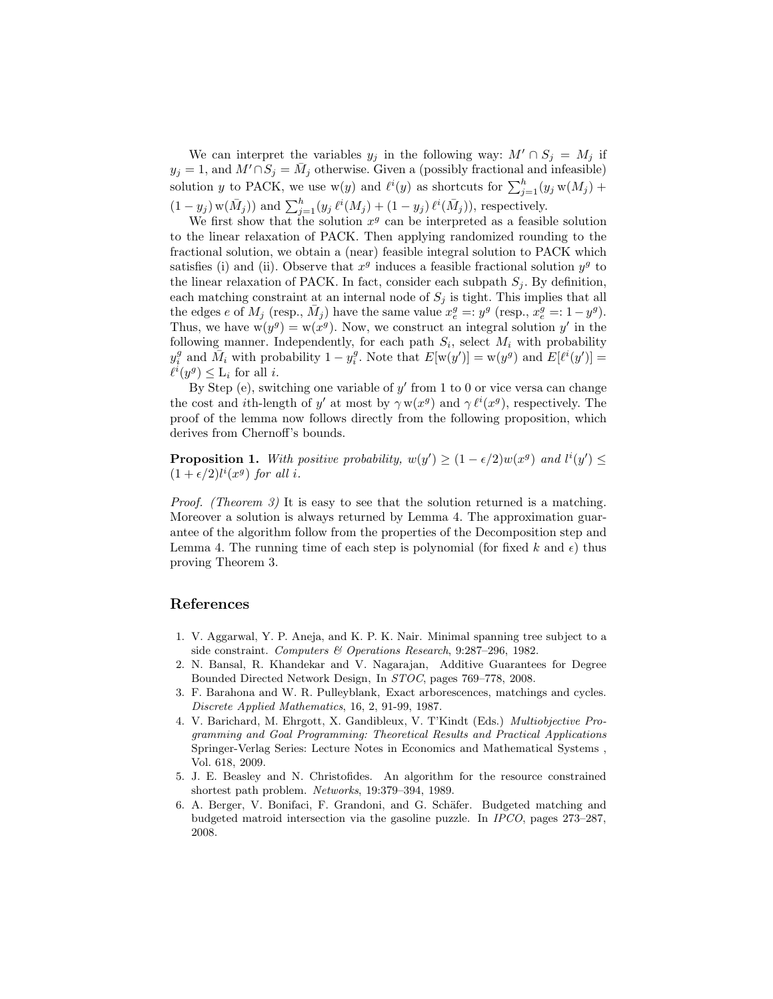We can interpret the variables  $y_j$  in the following way:  $M' \cap S_j = M_j$  if  $y_j = 1$ , and  $M' \cap S_j = \bar{M}_j$  otherwise. Given a (possibly fractional and infeasible) solution y to PACK, we use  $w(y)$  and  $\ell^i(y)$  as shortcuts for  $\sum_{j=1}^h (y_j w(M_j) +$  $(1-y_j)$  w $(\bar{M}_j)$  and  $\sum_{j=1}^h (y_j \ell^i(M_j) + (1-y_j) \ell^i(\bar{M}_j))$ , respectively.

We first show that the solution  $x^g$  can be interpreted as a feasible solution to the linear relaxation of PACK. Then applying randomized rounding to the fractional solution, we obtain a (near) feasible integral solution to PACK which satisfies (i) and (ii). Observe that  $x<sup>g</sup>$  induces a feasible fractional solution  $y<sup>g</sup>$  to the linear relaxation of PACK. In fact, consider each subpath  $S_i$ . By definition, each matching constraint at an internal node of  $S_j$  is tight. This implies that all the edges e of  $M_j$  (resp.,  $\bar{M}_j$ ) have the same value  $x_e^g =: y^g$  (resp.,  $x_e^g =: 1 - y^g$ ). Thus, we have  $w(y^g) = w(x^g)$ . Now, we construct an integral solution y' in the following manner. Independently, for each path  $S_i$ , select  $M_i$  with probability  $y_i^g$  and  $\overline{M}_i$  with probability  $1 - y_i^g$ . Note that  $E[w(y')] = w(y^g)$  and  $E[\ell^i(y')] =$  $\ell^i(y^g) \leq \mathcal{L}_i$  for all *i*.

By Step (e), switching one variable of  $y'$  from 1 to 0 or vice versa can change the cost and *i*th-length of y' at most by  $\gamma w(x^g)$  and  $\gamma \ell^i(x^g)$ , respectively. The proof of the lemma now follows directly from the following proposition, which derives from Chernoff's bounds.

**Proposition 1.** With positive probability,  $w(y') \geq (1 - \epsilon/2)w(x^g)$  and  $l^i(y') \leq$  $(1+\epsilon/2)l^{i}(x^{g})$  for all i.

Proof. (Theorem 3) It is easy to see that the solution returned is a matching. Moreover a solution is always returned by Lemma 4. The approximation guarantee of the algorithm follow from the properties of the Decomposition step and Lemma 4. The running time of each step is polynomial (for fixed k and  $\epsilon$ ) thus proving Theorem 3.

## References

- 1. V. Aggarwal, Y. P. Aneja, and K. P. K. Nair. Minimal spanning tree subject to a side constraint. Computers & Operations Research, 9:287–296, 1982.
- 2. N. Bansal, R. Khandekar and V. Nagarajan, Additive Guarantees for Degree Bounded Directed Network Design, In STOC, pages 769–778, 2008.
- 3. F. Barahona and W. R. Pulleyblank, Exact arborescences, matchings and cycles. Discrete Applied Mathematics, 16, 2, 91-99, 1987.
- 4. V. Barichard, M. Ehrgott, X. Gandibleux, V. T'Kindt (Eds.) Multiobjective Programming and Goal Programming: Theoretical Results and Practical Applications Springer-Verlag Series: Lecture Notes in Economics and Mathematical Systems , Vol. 618, 2009.
- 5. J. E. Beasley and N. Christofides. An algorithm for the resource constrained shortest path problem. Networks, 19:379–394, 1989.
- 6. A. Berger, V. Bonifaci, F. Grandoni, and G. Schäfer. Budgeted matching and budgeted matroid intersection via the gasoline puzzle. In IPCO, pages 273–287, 2008.